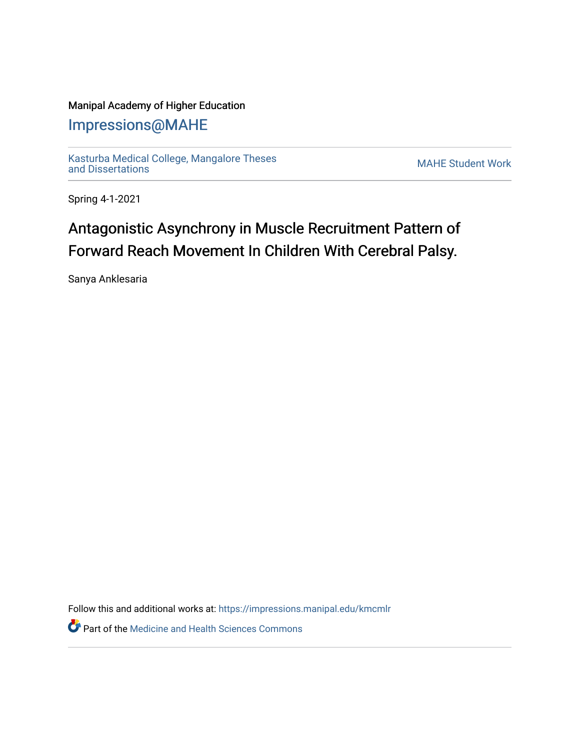## Manipal Academy of Higher Education

## [Impressions@MAHE](https://impressions.manipal.edu/)

[Kasturba Medical College, Mangalore Theses](https://impressions.manipal.edu/kmcmlr) [and Dissertations](https://impressions.manipal.edu/kmcmlr) [MAHE Student Work](https://impressions.manipal.edu/student-work) 

Spring 4-1-2021

## Antagonistic Asynchrony in Muscle Recruitment Pattern of Forward Reach Movement In Children With Cerebral Palsy.

Sanya Anklesaria

Follow this and additional works at: [https://impressions.manipal.edu/kmcmlr](https://impressions.manipal.edu/kmcmlr?utm_source=impressions.manipal.edu%2Fkmcmlr%2F75&utm_medium=PDF&utm_campaign=PDFCoverPages) 

**Part of the Medicine and Health Sciences Commons**